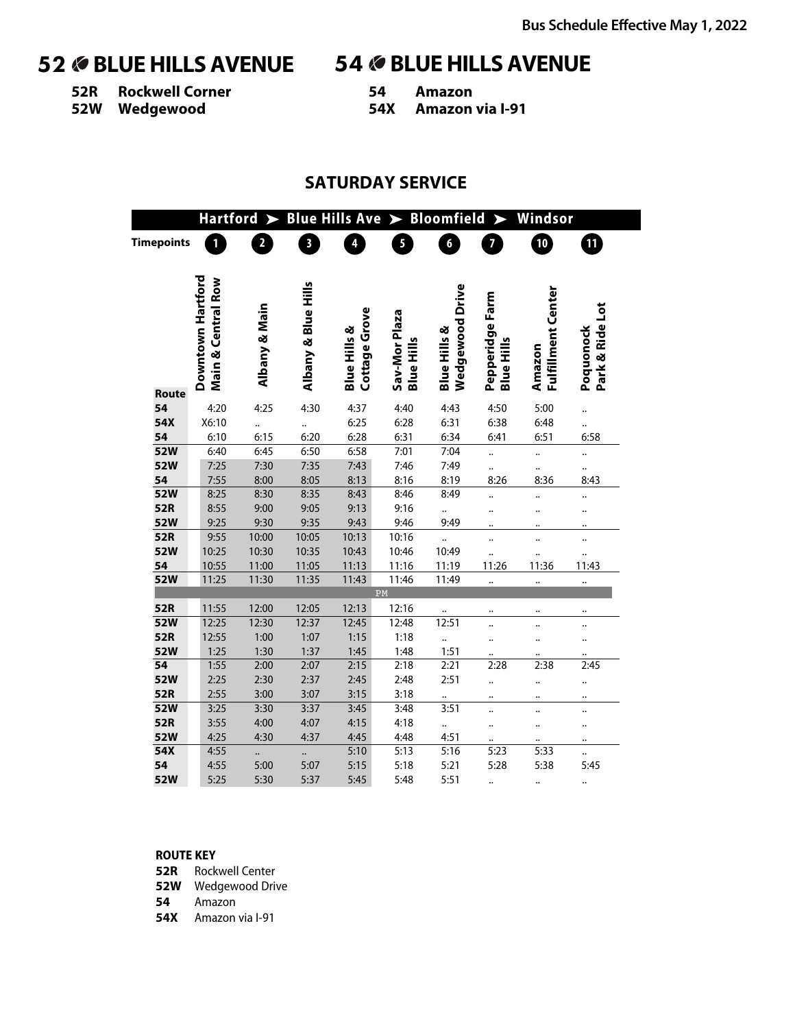**52R Rockwell Corner**

**52W Wedgewood**

**54 Amazon 54X Amazon via I-91**

## **SATURDAY SERVICE**

|                   | <b>Hartford</b>                         | $\blacktriangleright$ |                         | <b>Blue Hills Ave</b>                    | $\blacktriangleright$              | <b>Bloomfield</b>       |                                      | Windsor                      |                              |  |
|-------------------|-----------------------------------------|-----------------------|-------------------------|------------------------------------------|------------------------------------|-------------------------|--------------------------------------|------------------------------|------------------------------|--|
| <b>Timepoints</b> | $\mathbf{1}$                            | $\overline{2}$        | $\overline{\mathbf{3}}$ | 4                                        | 5                                  | $\boldsymbol{6}$        | $\overline{\mathbf{z}}$              | $\mathbb{D}$                 | 10                           |  |
|                   |                                         |                       |                         |                                          |                                    |                         |                                      |                              |                              |  |
|                   |                                         |                       |                         |                                          |                                    |                         |                                      |                              |                              |  |
|                   | Downtown Hartford<br>Main & Central Row |                       | Albany & Blue Hills     |                                          |                                    | <b>Wedgewood Drive</b>  |                                      |                              |                              |  |
|                   |                                         |                       |                         |                                          |                                    |                         |                                      |                              |                              |  |
|                   |                                         |                       |                         |                                          |                                    |                         |                                      |                              |                              |  |
|                   |                                         |                       |                         |                                          |                                    |                         |                                      |                              |                              |  |
|                   |                                         | Albany & Main         |                         | Cottage Grove<br><b>Blue Hills &amp;</b> | Sav-Mor Plaza<br><b>Blue Hills</b> | <b>Blue Hills &amp;</b> | Pepperidge Farm<br><b>Blue Hills</b> | Fulfillment Center<br>Amazon | Park & Ride Lot<br>Poquonock |  |
|                   |                                         |                       |                         |                                          |                                    |                         |                                      |                              |                              |  |
| Route             |                                         |                       |                         |                                          |                                    |                         |                                      |                              |                              |  |
| 54                | 4:20                                    | 4:25                  | 4:30                    | 4:37                                     | 4:40                               | 4:43                    | 4:50                                 | 5:00                         |                              |  |
| 54X               | X6:10                                   |                       |                         | 6:25                                     | 6:28                               | 6:31                    | 6:38                                 | 6:48                         |                              |  |
| 54                | 6:10                                    | 6:15                  | 6:20                    | 6:28                                     | 6:31                               | 6:34                    | 6:41                                 | 6:51                         | 6:58                         |  |
| 52W               | 6:40                                    | 6:45                  | 6:50                    | 6:58                                     | 7:01                               | 7:04                    |                                      |                              |                              |  |
| 52W               | 7:25                                    | 7:30                  | 7:35                    | 7:43                                     | 7:46                               | 7:49                    |                                      |                              | $\ddot{\phantom{0}}$         |  |
| 54                | 7:55                                    | 8:00                  | 8:05                    | 8:13                                     | 8:16                               | 8:19                    | 8:26                                 | 8:36                         | 8:43                         |  |
| <b>52W</b>        | 8:25                                    | 8:30                  | 8:35                    | 8:43                                     | 8:46                               | 8:49                    |                                      |                              |                              |  |
| 52R               | 8:55                                    | 9:00                  | 9:05                    | 9:13                                     | 9:16                               |                         |                                      |                              |                              |  |
| <b>52W</b>        | 9:25                                    | 9:30                  | 9:35                    | 9:43                                     | 9:46                               | 9:49                    |                                      |                              |                              |  |
| 52R               | 9:55                                    | 10:00                 | 10:05                   | 10:13                                    | 10:16                              |                         |                                      | $\ddot{\phantom{a}}$         |                              |  |
| <b>52W</b>        | 10:25                                   | 10:30                 | 10:35                   | 10:43                                    | 10:46                              | 10:49                   |                                      |                              |                              |  |
| 54<br>52W         | 10:55<br>11:25                          | 11:00<br>11:30        | 11:05<br>11:35          | 11:13<br>11:43                           | 11:16<br>11:46                     | 11:19<br>11:49          | 11:26                                | 11:36                        | 11:43                        |  |
|                   |                                         |                       |                         |                                          | ${\bf PM}$                         |                         | $\ddot{\phantom{0}}$                 |                              | $\ddot{\phantom{a}}$         |  |
| 52R               | 11:55                                   | 12:00                 | 12:05                   | 12:13                                    | 12:16                              |                         |                                      |                              |                              |  |
| 52W               | 12:25                                   | 12:30                 | 12:37                   | 12:45                                    | 12:48                              | 12:51                   |                                      |                              |                              |  |
| 52R               | 12:55                                   | 1:00                  | 1:07                    | 1:15                                     | 1:18                               |                         | $\ddot{\phantom{a}}$                 |                              |                              |  |
| <b>52W</b>        | 1:25                                    | 1:30                  | 1:37                    | 1:45                                     | 1:48                               | 1:51                    |                                      |                              |                              |  |
| 54                | 1:55                                    | 2:00                  | 2:07                    | 2:15                                     | 2:18                               | 2:21                    | 2:28                                 | 2:38                         | 2:45                         |  |
| <b>52W</b>        | 2:25                                    | 2:30                  | 2:37                    | 2:45                                     | 2:48                               | 2:51                    |                                      | $\ddot{\phantom{0}}$         |                              |  |
| 52R               | 2:55                                    | 3:00                  | 3:07                    | 3:15                                     | 3:18                               |                         |                                      |                              |                              |  |
| 52W               | 3:25                                    | 3:30                  | 3:37                    | 3:45                                     | 3:48                               | 3:51                    |                                      | $\ddotsc$                    |                              |  |
| 52R               | 3:55                                    | 4:00                  | 4:07                    | 4:15                                     | 4:18                               |                         |                                      |                              |                              |  |
| <b>52W</b>        | 4:25                                    | 4:30                  | 4:37                    | 4:45                                     | 4:48                               | 4:51                    |                                      |                              |                              |  |
| 54X               | 4:55                                    |                       |                         | 5:10                                     | 5:13                               | 5:16                    | 5:23                                 | 5:33                         |                              |  |
| 54                | 4:55                                    | 5:00                  | 5:07                    | 5:15                                     | 5:18                               | 5:21                    | 5:28                                 | 5:38                         | 5:45                         |  |
| 52W               | 5:25                                    | 5:30                  | 5:37                    | 5:45                                     | 5:48                               | 5:51                    |                                      |                              |                              |  |

### **ROUTE KEY**

**52R** Rockwell Center

**52W** Wedgewood Drive

**54** Amazon

**54X** Amazon via I-91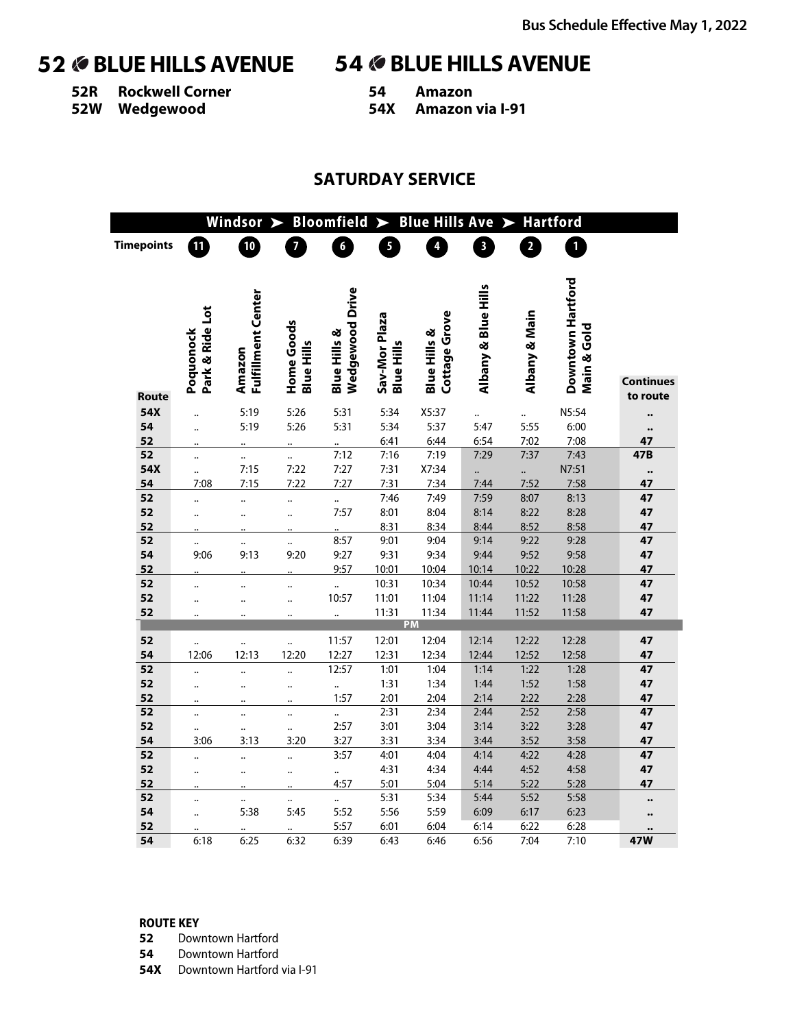**52R Rockwell Corner**

**52W Wedgewood**

**54 Amazon 54X Amazon via I-91**

### **SATURDAY SERVICE**

|                   |                      | Windsor              | $\blacktriangleright$ | <b>Bloomfield</b>            | $\blacktriangleright$ | <b>Blue Hills Ave</b>   |                     |                | <b>Hartford</b>   |                  |
|-------------------|----------------------|----------------------|-----------------------|------------------------------|-----------------------|-------------------------|---------------------|----------------|-------------------|------------------|
| <b>Timepoints</b> | 11                   | 10                   | $\overline{7}$        | $\boldsymbol{6}$             | 5                     | $\overline{\mathbf{4}}$ | $\mathbf{3}$        | $\overline{2}$ | $\mathbf{1}$      |                  |
|                   |                      |                      |                       |                              |                       |                         |                     |                |                   |                  |
|                   |                      |                      |                       |                              |                       |                         |                     |                |                   |                  |
|                   |                      | Fulfillment Center   |                       | <b>Wedgewood Drive</b>       |                       |                         | Albany & Blue Hills |                | Downtown Hartford |                  |
|                   | Park & Ride Lot      |                      |                       |                              | Sav-Mor Plaza         | Cottage Grove           |                     | Albany & Main  |                   |                  |
|                   | Poquonock            |                      | Home Goods            | Blue Hills &                 |                       | <b>Blue Hills &amp;</b> |                     |                | Main & Gold       |                  |
|                   |                      | Amazon               | <b>Blue Hills</b>     |                              | <b>Blue Hills</b>     |                         |                     |                |                   |                  |
|                   |                      |                      |                       |                              |                       |                         |                     |                |                   | <b>Continues</b> |
| Route             |                      |                      |                       |                              |                       |                         |                     |                |                   | to route         |
| 54X               | $\ddot{\phantom{a}}$ | 5:19                 | 5:26                  | 5:31                         | 5:34                  | X5:37                   |                     |                | N5:54             |                  |
| 54                | $\ddot{\phantom{a}}$ | 5:19                 | 5:26                  | 5:31                         | 5:34                  | 5:37                    | 5:47                | 5:55           | 6:00              |                  |
| 52                |                      |                      |                       |                              | 6:41                  | 6:44                    | 6:54                | 7:02           | 7:08              | 47               |
| 52                |                      |                      |                       | 7:12                         | 7:16                  | 7:19                    | 7:29                | 7:37           | 7:43              | 47B              |
| 54X               |                      | 7:15                 | 7:22                  | 7:27                         | 7:31                  | X7:34                   |                     | $\ddot{\cdot}$ | N7:51             | $\bullet\bullet$ |
| 54                | 7:08                 | 7:15                 | 7:22                  | 7:27                         | 7:31                  | 7:34                    | 7:44                | 7:52           | 7:58              | 47               |
| 52                |                      |                      |                       |                              | 7:46                  | 7:49                    | 7:59                | 8:07           | 8:13              | 47               |
| 52<br>52          | $\ddot{\phantom{a}}$ | $\ddot{\phantom{a}}$ | $\ddot{\phantom{a}}$  | 7:57                         | 8:01<br>8:31          | 8:04<br>8:34            | 8:14<br>8:44        | 8:22<br>8:52   | 8:28<br>8:58      | 47<br>47         |
| 52                |                      |                      |                       | 8:57                         | 9:01                  | 9:04                    | 9:14                | 9:22           | 9:28              | 47               |
| 54                | <br>9:06             | <br>9:13             | <br>9:20              | 9:27                         | 9:31                  | 9:34                    | 9:44                | 9:52           | 9:58              | 47               |
| 52                |                      |                      |                       | 9:57                         | 10:01                 | 10:04                   | 10:14               | 10:22          | 10:28             | 47               |
| 52                | $\ddot{\phantom{a}}$ | $\ddot{\phantom{0}}$ |                       |                              | 10:31                 | 10:34                   | 10:44               | 10:52          | 10:58             | 47               |
| 52                | $\ddot{\phantom{a}}$ |                      | $\ddot{\phantom{a}}$  | 10:57                        | 11:01                 | 11:04                   | 11:14               | 11:22          | 11:28             | 47               |
| 52                |                      |                      |                       |                              | 11:31                 | 11:34                   | 11:44               | 11:52          | 11:58             | 47               |
|                   |                      |                      |                       |                              |                       | PM                      |                     |                |                   |                  |
| 52                |                      |                      |                       | 11:57                        | 12:01                 | 12:04                   | 12:14               | 12:22          | 12:28             | 47               |
| 54                | 12:06                | 12:13                | 12:20                 | 12:27                        | 12:31                 | 12:34                   | 12:44               | 12:52          | 12:58             | 47               |
| 52                | $\ddot{\phantom{0}}$ |                      |                       | 12:57                        | 1:01                  | 1:04                    | 1:14                | 1:22           | 1:28              | 47               |
| 52                |                      |                      | $\ddot{\phantom{a}}$  | $\ddot{\phantom{a}}$         | 1:31                  | 1:34                    | 1:44                | 1:52           | 1:58              | 47               |
| 52                | $\ddot{\phantom{a}}$ | $\ddot{\phantom{a}}$ |                       | 1:57                         | 2:01                  | 2:04                    | 2:14                | 2:22           | 2:28              | 47               |
| 52                |                      |                      |                       | $\ddot{\phantom{a}}$         | 2:31                  | 2:34                    | 2:44                | 2:52           | 2:58              | 47               |
| 52<br>54          | <br>3:06             | <br>3:13             | $\ddotsc$<br>3:20     | 2:57<br>3:27                 | 3:01<br>3:31          | 3:04<br>3:34            | 3:14<br>3:44        | 3:22<br>3:52   | 3:28<br>3:58      | 47<br>47         |
| 52                |                      |                      |                       | 3:57                         | 4:01                  | 4:04                    | 4:14                | 4:22           | 4:28              | 47               |
| 52                |                      |                      |                       |                              | 4:31                  | 4:34                    | 4:44                | 4:52           | 4:58              | 47               |
| 52                | $\ddot{\phantom{a}}$ | $\ddot{\phantom{a}}$ |                       | $\ddot{\phantom{0}}$<br>4:57 | 5:01                  | 5:04                    | 5:14                | 5:22           | 5:28              | 47               |
| 52                |                      | $\ddot{\phantom{0}}$ |                       | $\ddotsc$                    | 5:31                  | 5:34                    | 5:44                | 5:52           | 5:58              |                  |
| 54                | $\ddot{\phantom{a}}$ | 5:38                 | 5:45                  | 5:52                         | 5:56                  | 5:59                    | 6:09                | 6:17           | 6:23              |                  |
| 52                |                      |                      |                       | 5:57                         | 6:01                  | 6:04                    | 6:14                | 6:22           | 6:28              |                  |
| 54                | 6:18                 | 6:25                 | 6:32                  | 6:39                         | 6:43                  | 6:46                    | 6:56                | 7:04           | 7:10              | 47W              |

### **ROUTE KEY**

- **52** Downtown Hartford
- **54** Downtown Hartford
- **54X** Downtown Hartford via I-91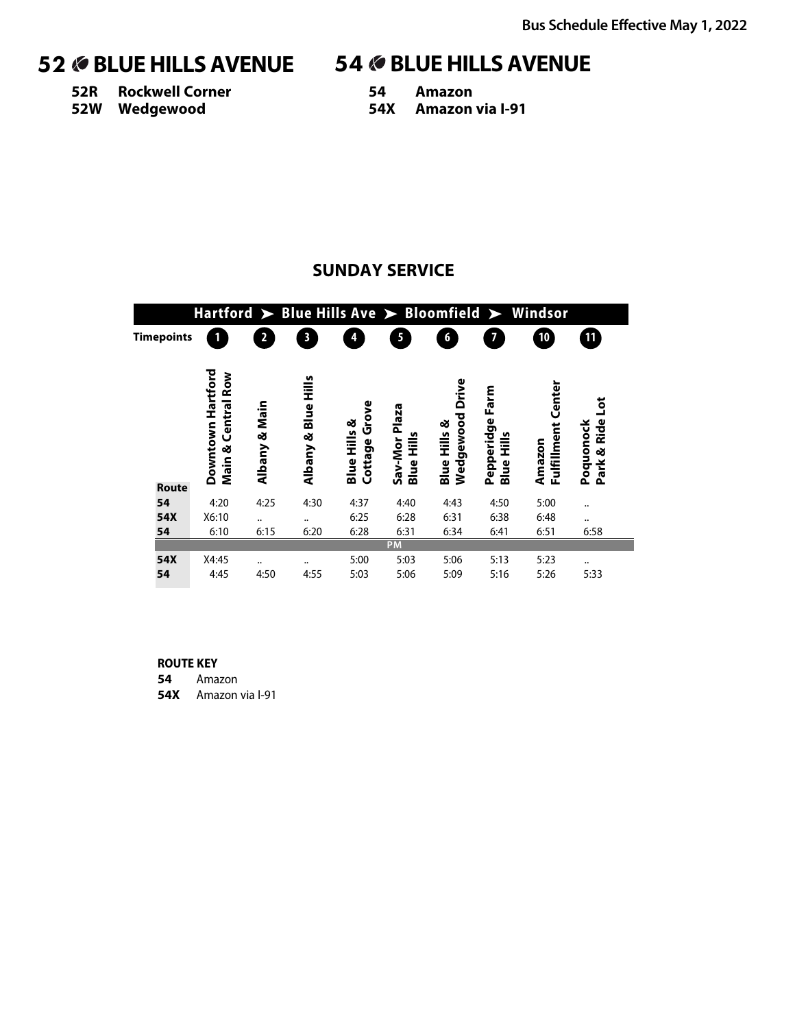**52R Rockwell Corner 52W Wedgewood**

# 52 **BLUE HILLS AVENUE** 54 **BLUE HILLS AVENUE**

**54 Amazon 54X Amazon via I-91**

# **SUNDAY SERVICE**

|                    |                                                   |                     |                     |                                            |                                    |                                               |                                         | Hartford $\triangleright$ Blue Hills Ave $\triangleright$ Bloomfield $\triangleright$ Windsor |                               |
|--------------------|---------------------------------------------------|---------------------|---------------------|--------------------------------------------|------------------------------------|-----------------------------------------------|-----------------------------------------|-----------------------------------------------------------------------------------------------|-------------------------------|
| <b>Timepoints</b>  |                                                   | 2                   | $\mathbf{3}$        | 4                                          | 5                                  | 6                                             | 7                                       | 10                                                                                            | $\mathbf{11}$                 |
|                    | Downtown Hartford<br><b>Central Row</b><br>Main & | Main<br>త<br>Albany | Albany & Blue Hills | Grove<br>ಳ<br><b>Blue Hills</b><br>Cottage | Sav-Mor Plaza<br><b>Blue Hills</b> | Drive<br>Wedgewood<br><b>Blue Hills &amp;</b> | Farm<br>Pepperidge<br><b>Blue Hills</b> | Fulfillment Center<br>Amazon                                                                  | ğ<br>Park & Ride<br>Poquonock |
| <b>Route</b><br>54 | 4:20                                              | 4:25                | 4:30                | 4:37                                       | 4:40                               | 4:43                                          | 4:50                                    | 5:00                                                                                          |                               |
| 54X                | X6:10                                             |                     |                     | 6:25                                       | 6:28                               | 6:31                                          | 6:38                                    | 6:48                                                                                          |                               |
| 54                 | 6:10                                              | <br>6:15            | <br>6:20            | 6:28                                       | 6:31                               | 6:34                                          | 6:41                                    | 6:51                                                                                          | <br>6:58                      |
|                    |                                                   |                     |                     |                                            | <b>PM</b>                          |                                               |                                         |                                                                                               |                               |
| 54X                | X4:45                                             |                     |                     | 5:00                                       | 5:03                               | 5:06                                          | 5:13                                    | 5:23                                                                                          |                               |
| 54                 | 4:45                                              | 4:50                | 4:55                | 5:03                                       | 5:06                               | 5:09                                          | 5:16                                    | 5:26                                                                                          | 5:33                          |

### **ROUTE KEY**

**54** Amazon

**54X** Amazon via I-91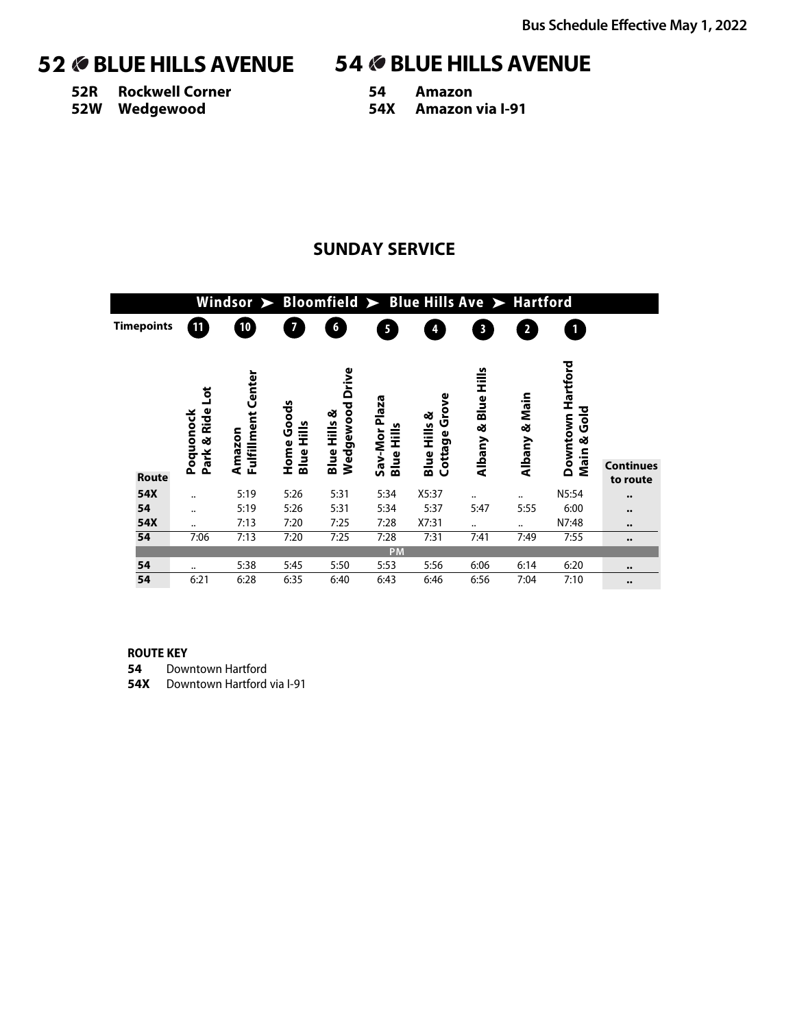**52R Rockwell Corner 52W Wedgewood**

**54 Amazon 54X Amazon via I-91**

### **SUNDAY SERVICE**

|                   |                               | Windsor $\triangleright$ Bloomfield $\triangleright$ Blue Hills Ave $\triangleright$ Hartford |                                 |                                               |                                    |                                            |                         |                         |                                                 |                              |
|-------------------|-------------------------------|-----------------------------------------------------------------------------------------------|---------------------------------|-----------------------------------------------|------------------------------------|--------------------------------------------|-------------------------|-------------------------|-------------------------------------------------|------------------------------|
| <b>Timepoints</b> | 11                            | 10                                                                                            | 7                               | 6                                             | 5                                  | 4                                          | $\overline{\mathbf{3}}$ | $\overline{\mathbf{2}}$ |                                                 |                              |
| <b>Route</b>      | ă<br>Park & Ride<br>Poquonock | Center<br>Fulfillment<br>Amazon                                                               | Home Goods<br><b>Blue Hills</b> | Drive<br>Wedgewood<br><b>Blue Hills &amp;</b> | Sav-Mor Plaza<br><b>Blue Hills</b> | Grove<br>ಳ<br><b>Blue Hills</b><br>Cottage | Albany & Blue Hills     | Albany & Main           | Hartford<br>$\frac{6}{3}$<br>Downtown<br>Main & | <b>Continues</b><br>to route |
| 54X               |                               | 5:19                                                                                          | 5:26                            | 5:31                                          | 5:34                               | X5:37                                      |                         |                         | N5:54                                           |                              |
|                   | $\ddotsc$                     |                                                                                               |                                 |                                               |                                    |                                            |                         |                         |                                                 | $\bullet\bullet$             |
| 54                |                               | 5:19                                                                                          | 5:26                            | 5:31                                          | 5:34                               | 5:37                                       | 5:47                    | 5:55                    | 6:00                                            | $\bullet\bullet$             |
| 54X               | $\ddotsc$                     | 7:13                                                                                          | 7:20                            | 7:25                                          | 7:28                               | X7:31                                      |                         |                         | N7:48                                           | $\bullet\bullet$             |
| 54                | 7:06                          | 7:13                                                                                          | 7:20                            | 7:25                                          | 7:28                               | 7:31                                       | 7:41                    | 7:49                    | 7:55                                            | $\bullet\bullet$             |
|                   |                               |                                                                                               |                                 |                                               | PM                                 |                                            |                         |                         |                                                 |                              |
| 54                |                               | 5:38                                                                                          | 5:45                            | 5:50                                          | 5:53                               | 5:56                                       | 6:06                    | 6:14                    | 6:20                                            | $\bullet\bullet$             |
| 54                | 6:21                          | 6:28                                                                                          | 6:35                            | 6:40                                          | 6:43                               | 6:46                                       | 6:56                    | 7:04                    | 7:10                                            | $\bullet\bullet$             |

### **ROUTE KEY**

**54** Downtown Hartford

**54X** Downtown Hartford via I-91